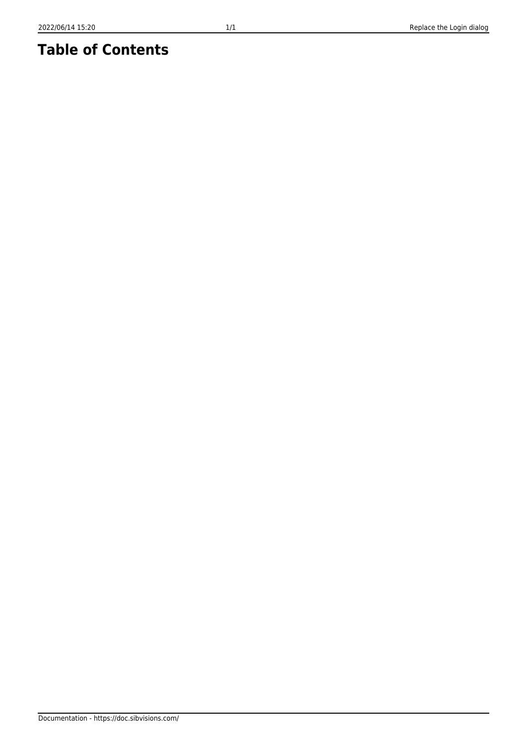## **Table of Contents**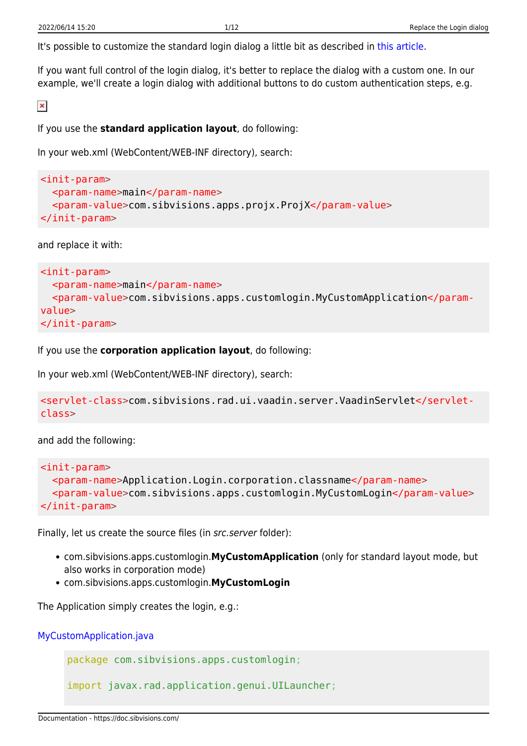It's possible to customize the standard login dialog a little bit as described in [this article.](https://doc.sibvisions.com/vaadin/customize_login)

If you want full control of the login dialog, it's better to replace the dialog with a custom one. In our example, we'll create a login dialog with additional buttons to do custom authentication steps, e.g.

 $\pmb{\times}$ 

If you use the **standard application layout**, do following:

In your web.xml (WebContent/WEB-INF directory), search:

```
<init-param>
   <param-name>main</param-name>
   <param-value>com.sibvisions.apps.projx.ProjX</param-value>
</init-param>
```
and replace it with:

```
<init-param>
   <param-name>main</param-name>
   <param-value>com.sibvisions.apps.customlogin.MyCustomApplication</param-
value>
</init-param>
```
If you use the **corporation application layout**, do following:

In your web.xml (WebContent/WEB-INF directory), search:

```
<servlet-class>com.sibvisions.rad.ui.vaadin.server.VaadinServlet</servlet-
class>
```
and add the following:

```
<init-param>
   <param-name>Application.Login.corporation.classname</param-name>
   <param-value>com.sibvisions.apps.customlogin.MyCustomLogin</param-value>
\langleinit-param\rangle
```
Finally, let us create the source files (in src.server folder):

- com.sibvisions.apps.customlogin.**MyCustomApplication** (only for standard layout mode, but also works in corporation mode)
- com.sibvisions.apps.customlogin.**MyCustomLogin**

The Application simply creates the login, e.g.:

[MyCustomApplication.java](https://doc.sibvisions.com/_export/code/vaadin/replace_login?codeblock=4)

package com.sibvisions.apps.customlogin;

import javax.rad.application.genui.UILauncher;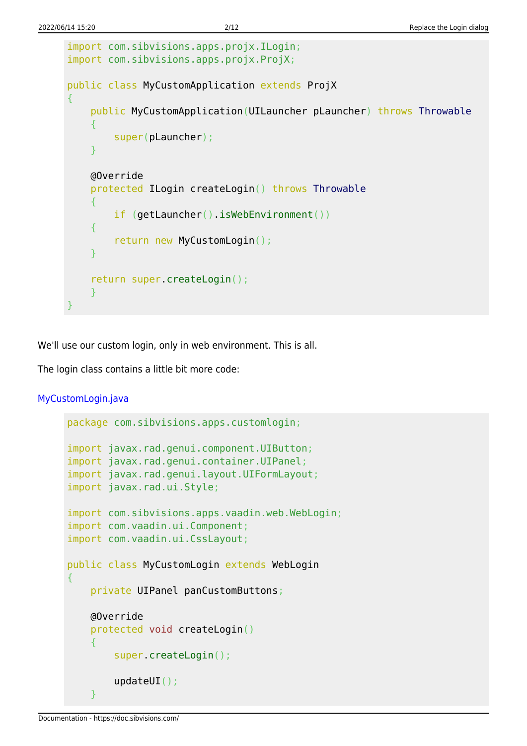```
import com.sibvisions.apps.projx.ILogin;
import com.sibvisions.apps.projx.ProjX;
public class MyCustomApplication extends ProjX
{
     public MyCustomApplication(UILauncher pLauncher) throws Throwable
     {
          super(pLauncher);
 }
     @Override
     protected ILogin createLogin() throws Throwable
     {
          if (getLauncher().isWebEnvironment())
     {
          return new MyCustomLogin();
\begin{array}{ccc} \end{array} return super.createLogin();
     }
}
```
We'll use our custom login, only in web environment. This is all.

The login class contains a little bit more code:

[MyCustomLogin.java](https://doc.sibvisions.com/_export/code/vaadin/replace_login?codeblock=5)

```
package com.sibvisions.apps.customlogin;
import javax.rad.genui.component.UIButton;
import javax.rad.genui.container.UIPanel;
import javax.rad.genui.layout.UIFormLayout;
import javax.rad.ui.Style;
import com.sibvisions.apps.vaadin.web.WebLogin;
import com.vaadin.ui.Component;
import com.vaadin.ui.CssLayout;
public class MyCustomLogin extends WebLogin
{
     private UIPanel panCustomButtons;
     @Override
     protected void createLogin()
     {
         super.createLogin();
         updateUI();
     }
```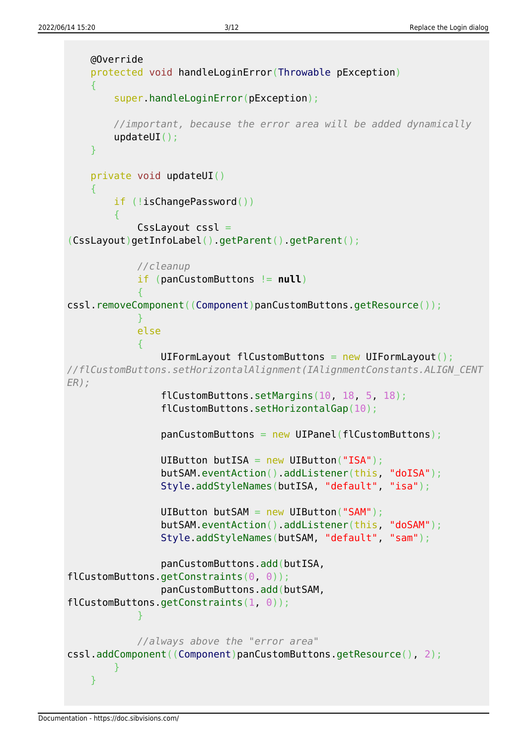```
 @Override
     protected void handleLoginError(Throwable pException)
     {
         super.handleLoginError(pException);
         //important, because the error area will be added dynamically
         updateUI();
     }
     private void updateUI()
\overline{\phantom{a}} if (!isChangePassword())
 {
             CssLayout cssl =
(CssLayout)getInfoLabel().getParent().getParent();
             //cleanup
             if (panCustomButtons != null)
\{cssl.removeComponent((Component)panCustomButtons.getResource());
 }
             else
\{ UIFormLayout flCustomButtons = new UIFormLayout();
//flCustomButtons.setHorizontalAlignment(IAlignmentConstants.ALIGN_CENT
ER);
                 flCustomButtons.setMargins(10, 18, 5, 18);
                 flCustomButtons.setHorizontalGap(10);
                 panCustomButtons = new UIPanel(flCustomButtons);
                 UIButton butISA = new UIButton("ISA");
                 butSAM.eventAction().addListener(this, "doISA");
                 Style.addStyleNames(butISA, "default", "isa");
                UIButton butSAM = new UIButton("SAM");
                 butSAM.eventAction().addListener(this, "doSAM");
                 Style.addStyleNames(butSAM, "default", "sam");
                 panCustomButtons.add(butISA,
flCustomButtons.getConstraints(0, 0));
                 panCustomButtons.add(butSAM,
flCustomButtons.getConstraints(1, 0));
 }
             //always above the "error area"
cssl.addComponent((Component)panCustomButtons.getResource(), 2);
 }
     }
```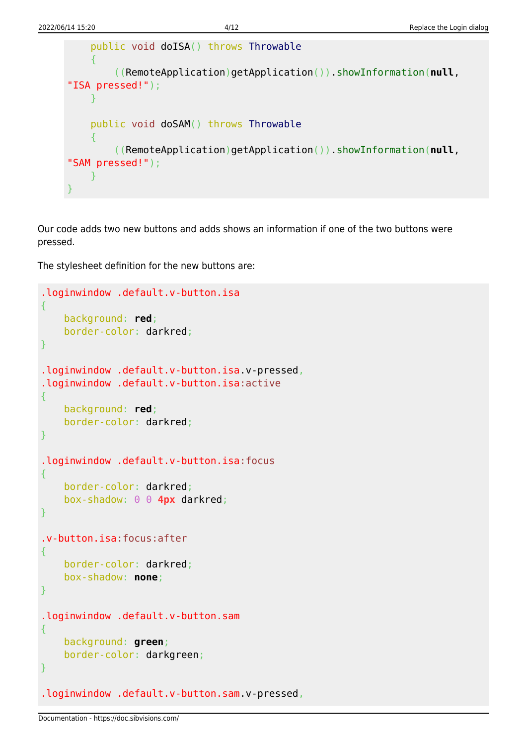```
 public void doISA() throws Throwable
     {
          ((RemoteApplication)getApplication()).showInformation(null,
"ISA pressed!");
     }
     public void doSAM() throws Throwable
\overline{\phantom{a}} ((RemoteApplication)getApplication()).showInformation(null,
"SAM pressed!");
     }
}
```
Our code adds two new buttons and adds shows an information if one of the two buttons were pressed.

The stylesheet definition for the new buttons are:

```
.loginwindow .default.v-button.isa
{
     background: red;
     border-color: darkred;
}
.loginwindow .default.v-button.isa.v-pressed,
.loginwindow .default.v-button.isa:active
{
     background: red;
     border-color: darkred;
}
.loginwindow .default.v-button.isa:focus
{
     border-color: darkred;
     box-shadow: 0 0 4px darkred;
}
.v-button.isa:focus:after
{
     border-color: darkred;
    box-shadow: none;
}
.loginwindow .default.v-button.sam
{
     background: green;
     border-color: darkgreen;
}
.loginwindow .default.v-button.sam.v-pressed,
```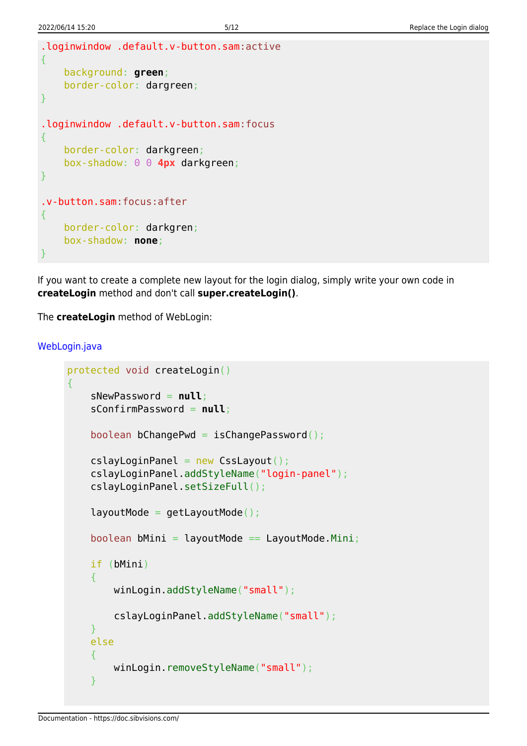```
.loginwindow .default.v-button.sam:active
{
     background: green;
     border-color: dargreen;
}
.loginwindow .default.v-button.sam:focus
{
     border-color: darkgreen;
     box-shadow: 0 0 4px darkgreen;
}
.v-button.sam:focus:after
{
     border-color: darkgren;
     box-shadow: none;
}
```
If you want to create a complete new layout for the login dialog, simply write your own code in **createLogin** method and don't call **super.createLogin()**.

The **createLogin** method of WebLogin:

## [WebLogin.java](https://doc.sibvisions.com/_export/code/vaadin/replace_login?codeblock=7)

```
protected void createLogin()
{
     sNewPassword = null;
     sConfirmPassword = null;
     boolean bChangePwd = isChangePassword();
    cslayLoginPanel = new CssLayout();
     cslayLoginPanel.addStyleName("login-panel");
     cslayLoginPanel.setSizeFull();
    layoutMode = getLayoutMode();
    boolean bMini = layoutMode == LayoutMode.Mini;
     if (bMini)
     {
         winLogin.addStyleName("small");
         cslayLoginPanel.addStyleName("small");
     }
     else
     {
        winLogin.removeStyleName("small");
     }
```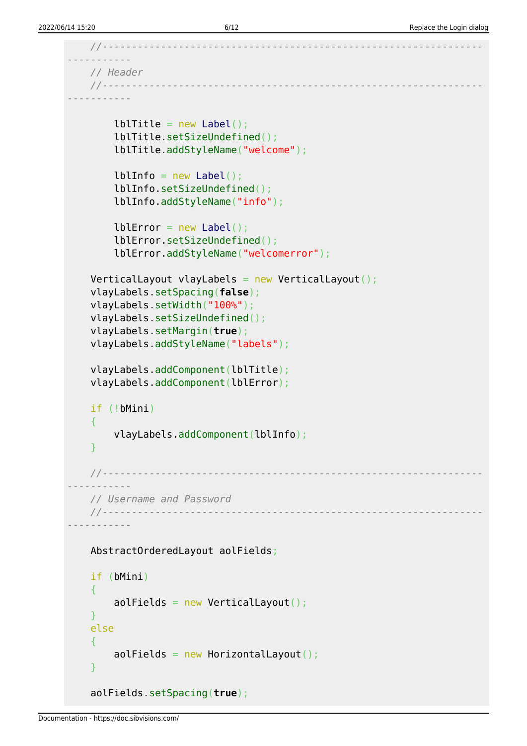```
 //-----------------------------------------------------------------
-----------
    // Header
     //-----------------------------------------------------------------
-----------
        lbLabel();
         lblTitle.setSizeUndefined();
         lblTitle.addStyleName("welcome");
        lbLabel();
         lblInfo.setSizeUndefined();
         lblInfo.addStyleName("info");
        Label();
         lblError.setSizeUndefined();
         lblError.addStyleName("welcomerror");
    VerticalLayout vlayLabels = new VerticalLayout();
     vlayLabels.setSpacing(false);
     vlayLabels.setWidth("100%");
     vlayLabels.setSizeUndefined();
     vlayLabels.setMargin(true);
     vlayLabels.addStyleName("labels");
     vlayLabels.addComponent(lblTitle);
     vlayLabels.addComponent(lblError);
     if (!bMini)
     {
         vlayLabels.addComponent(lblInfo);
     }
     //-----------------------------------------------------------------
        -----------
     // Username and Password
     //-----------------------------------------------------------------
-----------
     AbstractOrderedLayout aolFields;
     if (bMini)
     {
        aolFields = new VerticalLayout();
     }
     else
     {
        aolFields = new HorizontalLayout();
     }
     aolFields.setSpacing(true);
```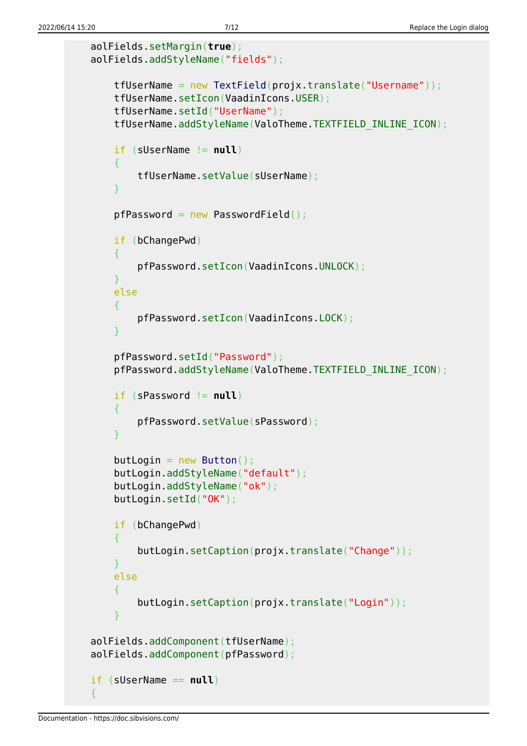```
 aolFields.setMargin(true);
    aolFields.addStyleName("fields");
        tfUserName = new TextField(projx.translate("Username"));
        tfUserName.setIcon(VaadinIcons.USER);
        tfUserName.setId("UserName");
        tfUserName.addStyleName(ValoTheme.TEXTFIELD_INLINE_ICON);
        if (sUserName != null)
 {
            tfUserName.setValue(sUserName);
 }
       pfPassword = new PasswordFileId();
        if (bChangePwd)
 {
            pfPassword.setIcon(VaadinIcons.UNLOCK);
 }
        else
 {
            pfPassword.setIcon(VaadinIcons.LOCK);
 }
        pfPassword.setId("Password");
        pfPassword.addStyleName(ValoTheme.TEXTFIELD_INLINE_ICON);
        if (sPassword != null)
 {
            pfPassword.setValue(sPassword);
 }
       butButton();
        butLogin.addStyleName("default");
        butLogin.addStyleName("ok");
        butLogin.setId("OK");
        if (bChangePwd)
 {
            butLogin.setCaption(projx.translate("Change"));
 }
        else
 {
            butLogin.setCaption(projx.translate("Login"));
 }
    aolFields.addComponent(tfUserName);
    aolFields.addComponent(pfPassword);
    if (sUserName == null)
```
{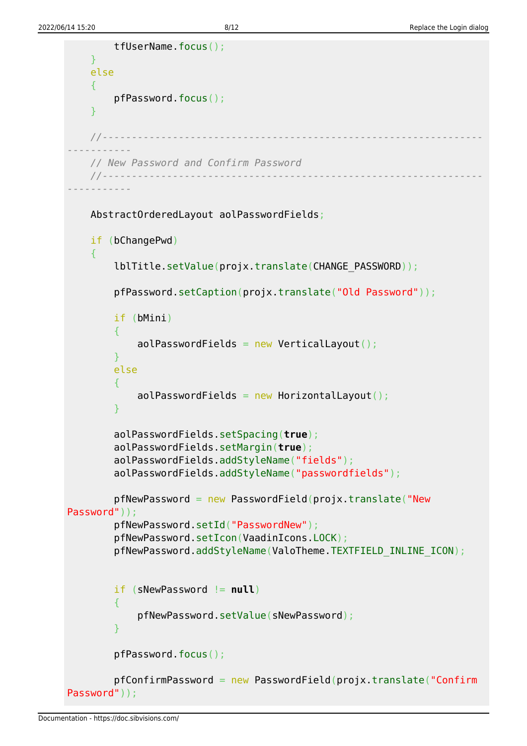```
 tfUserName.focus();
     }
     else
     {
         pfPassword.focus();
     }
     //-----------------------------------------------------------------
-----------
     // New Password and Confirm Password
     //-----------------------------------------------------------------
-----------
     AbstractOrderedLayout aolPasswordFields;
     if (bChangePwd)
     {
         lblTitle.setValue(projx.translate(CHANGE_PASSWORD));
         pfPassword.setCaption(projx.translate("Old Password"));
         if (bMini)
 {
             aolPasswordFields = new VerticalLayout();
 }
         else
 {
             aolPasswordFields = new HorizontalLayout();
 }
         aolPasswordFields.setSpacing(true);
         aolPasswordFields.setMargin(true);
         aolPasswordFields.addStyleName("fields");
         aolPasswordFields.addStyleName("passwordfields");
        pfNewPassword = new PasswordField(projx.translate("NewPassword"));
         pfNewPassword.setId("PasswordNew");
         pfNewPassword.setIcon(VaadinIcons.LOCK);
         pfNewPassword.addStyleName(ValoTheme.TEXTFIELD_INLINE_ICON);
         if (sNewPassword != null)
 {
              pfNewPassword.setValue(sNewPassword);
 }
         pfPassword.focus();
        pfConfigurationPassword = new PasswordField(projx.transpose ("Configuration)Password"));
```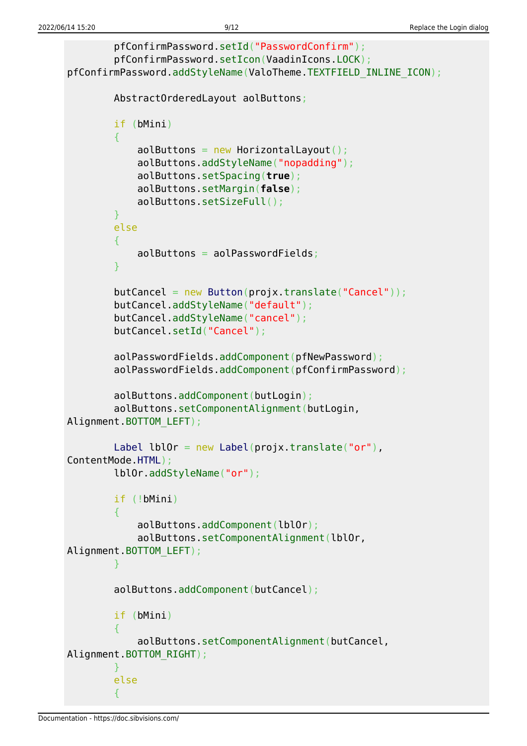```
 pfConfirmPassword.setId("PasswordConfirm");
        pfConfirmPassword.setIcon(VaadinIcons.LOCK);
pfConfirmPassword.addStyleName(ValoTheme.TEXTFIELD_INLINE_ICON);
        AbstractOrderedLayout aolButtons;
        if (bMini)
 {
           aolButtons = new HorizontalLayout();
            aolButtons.addStyleName("nopadding");
            aolButtons.setSpacing(true);
            aolButtons.setMargin(false);
            aolButtons.setSizeFull();
 }
        else
 {
           aolButtons = aolPasswordFields;
 }
       Button(proix.transpose("Cancel")); butCancel.addStyleName("default");
        butCancel.addStyleName("cancel");
        butCancel.setId("Cancel");
        aolPasswordFields.addComponent(pfNewPassword);
        aolPasswordFields.addComponent(pfConfirmPassword);
        aolButtons.addComponent(butLogin);
        aolButtons.setComponentAlignment(butLogin,
Alignment.BOTTOM_LEFT);
       Label Label(projx.translate("or"),
ContentMode.HTML);
        lblOr.addStyleName("or");
        if (!bMini)
 {
           aolButtons.addComponent(lblOr);
            aolButtons.setComponentAlignment(lblOr,
Alignment.BOTTOM_LEFT);
 }
        aolButtons.addComponent(butCancel);
        if (bMini)
 {
            aolButtons.setComponentAlignment(butCancel,
Alignment.BOTTOM_RIGHT);
 }
        else
 {
```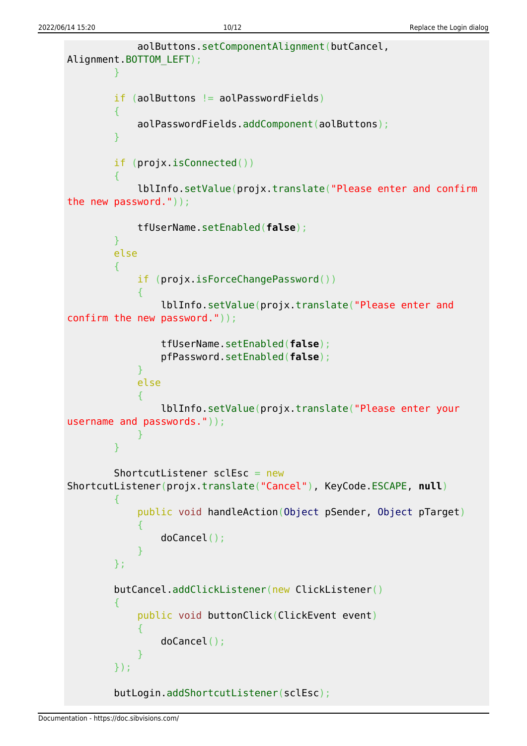```
 aolButtons.setComponentAlignment(butCancel,
Alignment.BOTTOM_LEFT);
 }
        if (aolButtons != aolPasswordFields)
 {
            aolPasswordFields.addComponent(aolButtons);
 }
        if (projx.isConnected())
 {
            lblInfo.setValue(projx.translate("Please enter and confirm
the new password."));
            tfUserName.setEnabled(false);
        }
        else
       \sqrt{2} if (projx.isForceChangePassword())
\{ lblInfo.setValue(projx.translate("Please enter and
confirm the new password."));
               tfUserName.setEnabled(false);
               pfPassword.setEnabled(false);
 }
            else
\{ lblInfo.setValue(projx.translate("Please enter your
username and passwords."));
 }
 }
       ShortcutListener sclEsc = new
ShortcutListener(projx.translate("Cancel"), KeyCode.ESCAPE, null)
 {
            public void handleAction(Object pSender, Object pTarget)
\{ doCancel();
 }
        };
        butCancel.addClickListener(new ClickListener()
 {
            public void buttonClick(ClickEvent event)
\{ doCancel();
 }
        });
        butLogin.addShortcutListener(sclEsc);
```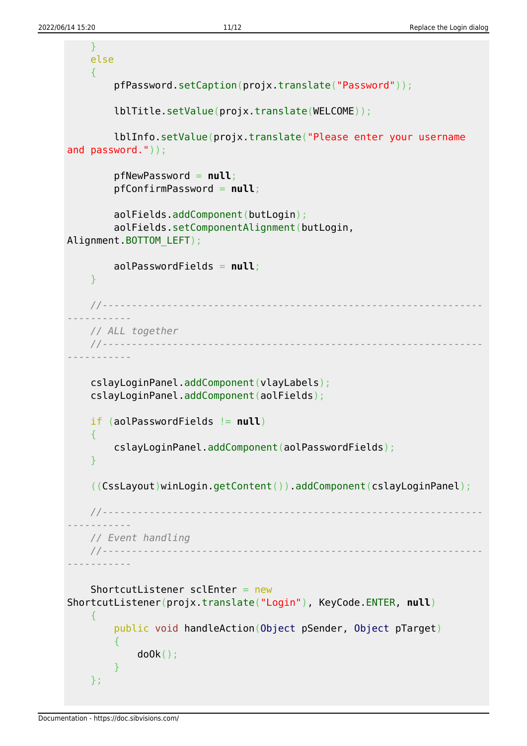```
 }
     else
     {
         pfPassword.setCaption(projx.translate("Password"));
         lblTitle.setValue(projx.translate(WELCOME));
         lblInfo.setValue(projx.translate("Please enter your username
and password."));
         pfNewPassword = null;
         pfConfirmPassword = null;
         aolFields.addComponent(butLogin);
         aolFields.setComponentAlignment(butLogin,
Alignment.BOTTOM_LEFT);
         aolPasswordFields = null;
     }
     //-----------------------------------------------------------------
-----------
     // ALL together
     //-----------------------------------------------------------------
-----------
     cslayLoginPanel.addComponent(vlayLabels);
     cslayLoginPanel.addComponent(aolFields);
     if (aolPasswordFields != null)
    {
         cslayLoginPanel.addComponent(aolPasswordFields);
     }
     ((CssLayout)winLogin.getContent()).addComponent(cslayLoginPanel);
     //-----------------------------------------------------------------
   -----------
     // Event handling
     //-----------------------------------------------------------------
-----------
     ShortcutListener sclEnter = new
ShortcutListener(projx.translate("Login"), KeyCode.ENTER, null)
     {
         public void handleAction(Object pSender, Object pTarget)
 {
              doOk();
 }
     };
```